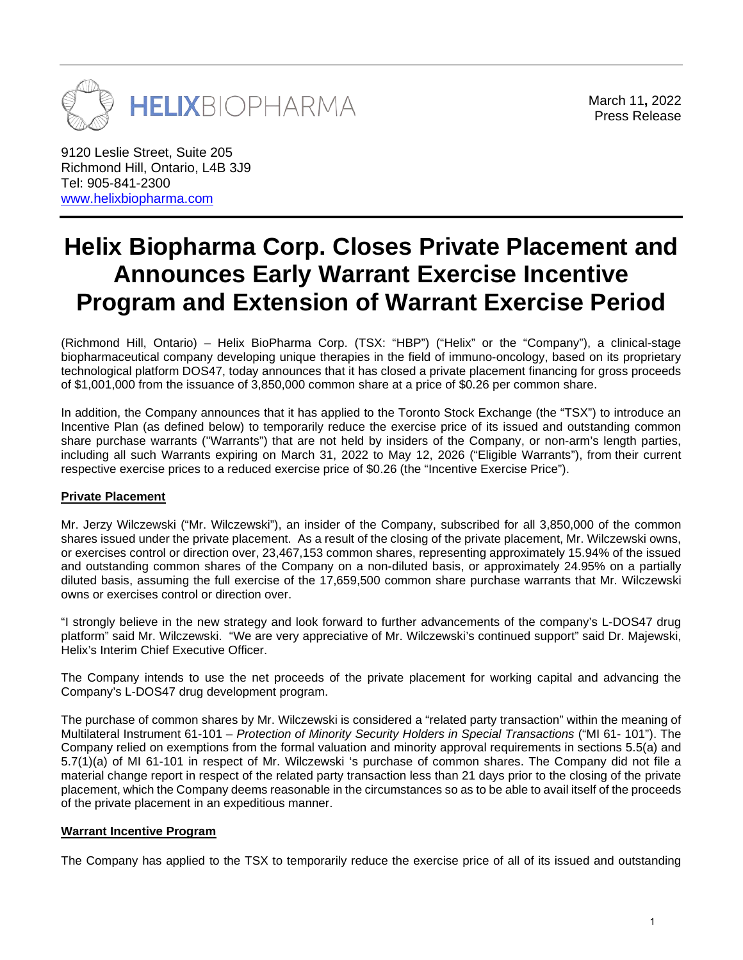

March 11**,** 2022 Press Release

9120 Leslie Street, Suite 205 Richmond Hill, Ontario, L4B 3J9 Tel: 905-841-2300 [www.helixbiopharma.com](http://www.helixbiopharma.com/) 

# **Helix Biopharma Corp. Closes Private Placement and Announces Early Warrant Exercise Incentive Program and Extension of Warrant Exercise Period**

(Richmond Hill, Ontario) – Helix BioPharma Corp. (TSX: "HBP") ("Helix" or the "Company"), a clinical-stage biopharmaceutical company developing unique therapies in the field of immuno-oncology, based on its proprietary technological platform DOS47, today announces that it has closed a private placement financing for gross proceeds of \$1,001,000 from the issuance of 3,850,000 common share at a price of \$0.26 per common share.

In addition, the Company announces that it has applied to the Toronto Stock Exchange (the "TSX") to introduce an Incentive Plan (as defined below) to temporarily reduce the exercise price of its issued and outstanding common share purchase warrants ("Warrants") that are not held by insiders of the Company, or non-arm's length parties, including all such Warrants expiring on March 31, 2022 to May 12, 2026 ("Eligible Warrants"), from their current respective exercise prices to a reduced exercise price of \$0.26 (the "Incentive Exercise Price").

# **Private Placement**

Mr. Jerzy Wilczewski ("Mr. Wilczewski"), an insider of the Company, subscribed for all 3,850,000 of the common shares issued under the private placement. As a result of the closing of the private placement, Mr. Wilczewski owns, or exercises control or direction over, 23,467,153 common shares, representing approximately 15.94% of the issued and outstanding common shares of the Company on a non-diluted basis, or approximately 24.95% on a partially diluted basis, assuming the full exercise of the 17,659,500 common share purchase warrants that Mr. Wilczewski owns or exercises control or direction over.

"I strongly believe in the new strategy and look forward to further advancements of the company's L-DOS47 drug platform" said Mr. Wilczewski. "We are very appreciative of Mr. Wilczewski's continued support" said Dr. Majewski, Helix's Interim Chief Executive Officer.

The Company intends to use the net proceeds of the private placement for working capital and advancing the Company's L-DOS47 drug development program.

The purchase of common shares by Mr. Wilczewski is considered a "related party transaction" within the meaning of Multilateral Instrument 61-101 – *Protection of Minority Security Holders in Special Transactions* ("MI 61- 101"). The Company relied on exemptions from the formal valuation and minority approval requirements in sections 5.5(a) and 5.7(1)(a) of MI 61-101 in respect of Mr. Wilczewski 's purchase of common shares. The Company did not file a material change report in respect of the related party transaction less than 21 days prior to the closing of the private placement, which the Company deems reasonable in the circumstances so as to be able to avail itself of the proceeds of the private placement in an expeditious manner.

# **Warrant Incentive Program**

The Company has applied to the TSX to temporarily reduce the exercise price of all of its issued and outstanding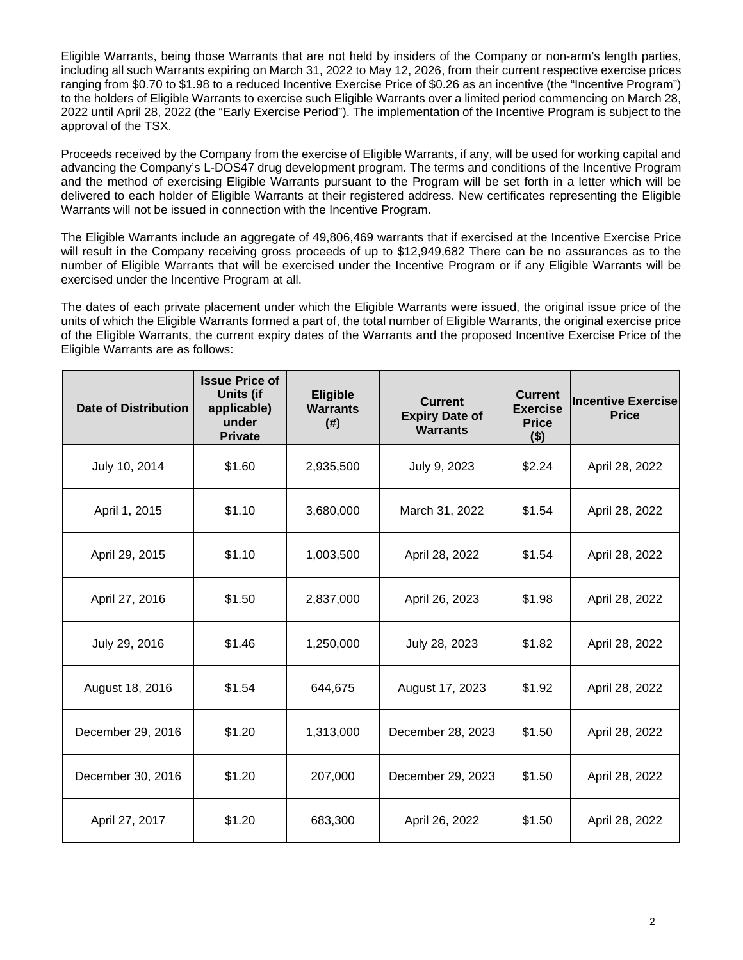Eligible Warrants, being those Warrants that are not held by insiders of the Company or non-arm's length parties, including all such Warrants expiring on March 31, 2022 to May 12, 2026, from their current respective exercise prices ranging from \$0.70 to \$1.98 to a reduced Incentive Exercise Price of \$0.26 as an incentive (the "Incentive Program") to the holders of Eligible Warrants to exercise such Eligible Warrants over a limited period commencing on March 28, 2022 until April 28, 2022 (the "Early Exercise Period"). The implementation of the Incentive Program is subject to the approval of the TSX.

Proceeds received by the Company from the exercise of Eligible Warrants, if any, will be used for working capital and advancing the Company's L-DOS47 drug development program. The terms and conditions of the Incentive Program and the method of exercising Eligible Warrants pursuant to the Program will be set forth in a letter which will be delivered to each holder of Eligible Warrants at their registered address. New certificates representing the Eligible Warrants will not be issued in connection with the Incentive Program.

The Eligible Warrants include an aggregate of 49,806,469 warrants that if exercised at the Incentive Exercise Price will result in the Company receiving gross proceeds of up to \$12,949,682 There can be no assurances as to the number of Eligible Warrants that will be exercised under the Incentive Program or if any Eligible Warrants will be exercised under the Incentive Program at all.

The dates of each private placement under which the Eligible Warrants were issued, the original issue price of the units of which the Eligible Warrants formed a part of, the total number of Eligible Warrants, the original exercise price of the Eligible Warrants, the current expiry dates of the Warrants and the proposed Incentive Exercise Price of the Eligible Warrants are as follows:

| <b>Date of Distribution</b> | <b>Issue Price of</b><br>Units (if<br>applicable)<br>under<br><b>Private</b> | <b>Eligible</b><br><b>Warrants</b><br>$($ # $)$ | <b>Current</b><br><b>Expiry Date of</b><br><b>Warrants</b> | <b>Current</b><br><b>Exercise</b><br><b>Price</b><br>$($ \$) | <b>Incentive Exercise</b><br><b>Price</b> |
|-----------------------------|------------------------------------------------------------------------------|-------------------------------------------------|------------------------------------------------------------|--------------------------------------------------------------|-------------------------------------------|
| July 10, 2014               | \$1.60                                                                       | 2,935,500                                       | July 9, 2023                                               | \$2.24                                                       | April 28, 2022                            |
| April 1, 2015               | \$1.10                                                                       | 3,680,000                                       | March 31, 2022                                             | \$1.54                                                       | April 28, 2022                            |
| April 29, 2015              | \$1.10                                                                       | 1,003,500                                       | April 28, 2022                                             | \$1.54                                                       | April 28, 2022                            |
| April 27, 2016              | \$1.50                                                                       | 2,837,000                                       | April 26, 2023                                             | \$1.98                                                       | April 28, 2022                            |
| July 29, 2016               | \$1.46                                                                       | 1,250,000                                       | July 28, 2023                                              | \$1.82                                                       | April 28, 2022                            |
| August 18, 2016             | \$1.54                                                                       | 644,675                                         | August 17, 2023                                            | \$1.92                                                       | April 28, 2022                            |
| December 29, 2016           | \$1.20                                                                       | 1,313,000                                       | December 28, 2023                                          | \$1.50                                                       | April 28, 2022                            |
| December 30, 2016           | \$1.20                                                                       | 207,000                                         | December 29, 2023                                          | \$1.50                                                       | April 28, 2022                            |
| April 27, 2017              | \$1.20                                                                       | 683,300                                         | April 26, 2022                                             | \$1.50                                                       | April 28, 2022                            |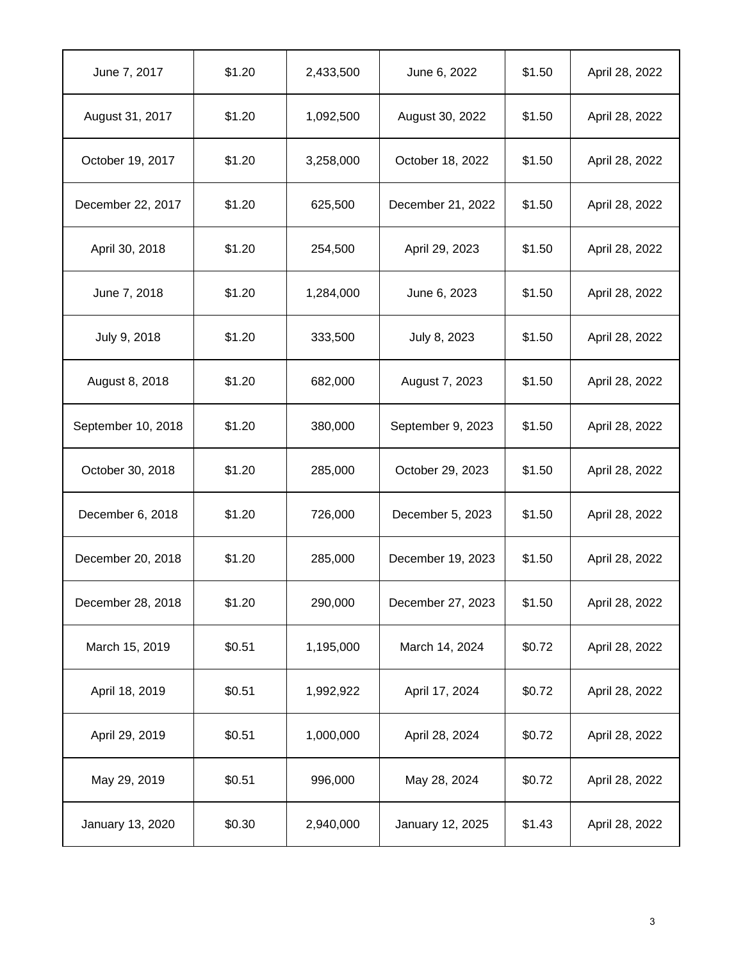| June 7, 2017       | \$1.20 | 2,433,500 | June 6, 2022      | \$1.50 | April 28, 2022 |
|--------------------|--------|-----------|-------------------|--------|----------------|
| August 31, 2017    | \$1.20 | 1,092,500 | August 30, 2022   | \$1.50 | April 28, 2022 |
| October 19, 2017   | \$1.20 | 3,258,000 | October 18, 2022  | \$1.50 | April 28, 2022 |
| December 22, 2017  | \$1.20 | 625,500   | December 21, 2022 | \$1.50 | April 28, 2022 |
| April 30, 2018     | \$1.20 | 254,500   | April 29, 2023    | \$1.50 | April 28, 2022 |
| June 7, 2018       | \$1.20 | 1,284,000 | June 6, 2023      | \$1.50 | April 28, 2022 |
| July 9, 2018       | \$1.20 | 333,500   | July 8, 2023      | \$1.50 | April 28, 2022 |
| August 8, 2018     | \$1.20 | 682,000   | August 7, 2023    | \$1.50 | April 28, 2022 |
| September 10, 2018 | \$1.20 | 380,000   | September 9, 2023 | \$1.50 | April 28, 2022 |
| October 30, 2018   | \$1.20 | 285,000   | October 29, 2023  | \$1.50 | April 28, 2022 |
| December 6, 2018   | \$1.20 | 726,000   | December 5, 2023  | \$1.50 | April 28, 2022 |
| December 20, 2018  | \$1.20 | 285,000   | December 19, 2023 | \$1.50 | April 28, 2022 |
| December 28, 2018  | \$1.20 | 290,000   | December 27, 2023 | \$1.50 | April 28, 2022 |
| March 15, 2019     | \$0.51 | 1,195,000 | March 14, 2024    | \$0.72 | April 28, 2022 |
| April 18, 2019     | \$0.51 | 1,992,922 | April 17, 2024    | \$0.72 | April 28, 2022 |
| April 29, 2019     | \$0.51 | 1,000,000 | April 28, 2024    | \$0.72 | April 28, 2022 |
| May 29, 2019       | \$0.51 | 996,000   | May 28, 2024      | \$0.72 | April 28, 2022 |
| January 13, 2020   | \$0.30 | 2,940,000 | January 12, 2025  | \$1.43 | April 28, 2022 |
|                    |        |           |                   |        |                |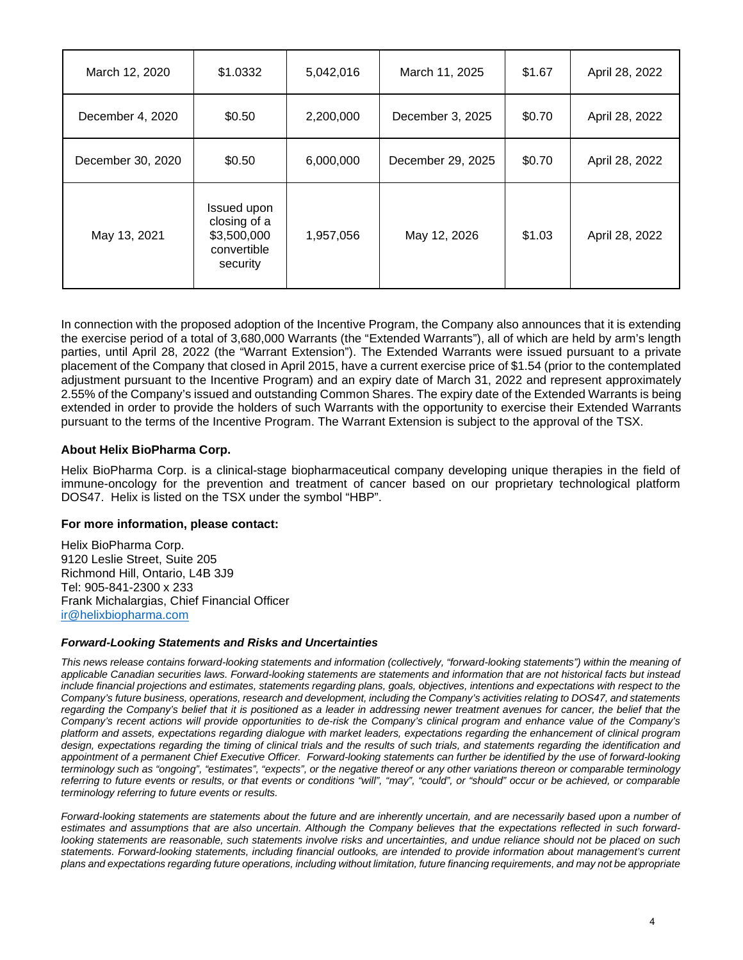| March 12, 2020    | \$1.0332                                                              | 5,042,016 | March 11, 2025    | \$1.67 | April 28, 2022 |
|-------------------|-----------------------------------------------------------------------|-----------|-------------------|--------|----------------|
| December 4, 2020  | \$0.50                                                                | 2,200,000 | December 3, 2025  | \$0.70 | April 28, 2022 |
| December 30, 2020 | \$0.50                                                                | 6,000,000 | December 29, 2025 | \$0.70 | April 28, 2022 |
| May 13, 2021      | Issued upon<br>closing of a<br>\$3,500,000<br>convertible<br>security | 1,957,056 | May 12, 2026      | \$1.03 | April 28, 2022 |

In connection with the proposed adoption of the Incentive Program, the Company also announces that it is extending the exercise period of a total of 3,680,000 Warrants (the "Extended Warrants"), all of which are held by arm's length parties, until April 28, 2022 (the "Warrant Extension"). The Extended Warrants were issued pursuant to a private placement of the Company that closed in April 2015, have a current exercise price of \$1.54 (prior to the contemplated adjustment pursuant to the Incentive Program) and an expiry date of March 31, 2022 and represent approximately 2.55% of the Company's issued and outstanding Common Shares. The expiry date of the Extended Warrants is being extended in order to provide the holders of such Warrants with the opportunity to exercise their Extended Warrants pursuant to the terms of the Incentive Program. The Warrant Extension is subject to the approval of the TSX.

## **About Helix BioPharma Corp.**

Helix BioPharma Corp. is a clinical-stage biopharmaceutical company developing unique therapies in the field of immune-oncology for the prevention and treatment of cancer based on our proprietary technological platform DOS47. Helix is listed on the TSX under the symbol "HBP".

### **For more information, please contact:**

Helix BioPharma Corp. 9120 Leslie Street, Suite 205 Richmond Hill, Ontario, L4B 3J9 Tel: 905-841-2300 x 233 Frank Michalargias, Chief Financial Officer [ir@helixbiopharma.com](mailto:ir@helixbiopharma.com)

### *Forward-Looking Statements and Risks and Uncertainties*

*This news release contains forward-looking statements and information (collectively, "forward-looking statements") within the meaning of applicable Canadian securities laws. Forward-looking statements are statements and information that are not historical facts but instead include financial projections and estimates, statements regarding plans, goals, objectives, intentions and expectations with respect to the Company's future business, operations, research and development, including the Company's activities relating to DOS47, and statements*  regarding the Company's belief that it is positioned as a leader in addressing newer treatment avenues for cancer, the belief that the *Company's recent actions will provide opportunities to de-risk the Company's clinical program and enhance value of the Company's platform and assets, expectations regarding dialogue with market leaders, expectations regarding the enhancement of clinical program*  design, expectations regarding the timing of clinical trials and the results of such trials, and statements regarding the identification and appointment of a permanent Chief Executive Officer. Forward-looking statements can further be identified by the use of forward-looking *terminology such as "ongoing", "estimates", "expects", or the negative thereof or any other variations thereon or comparable terminology referring to future events or results, or that events or conditions "will", "may", "could", or "should" occur or be achieved, or comparable terminology referring to future events or results.*

*Forward-looking statements are statements about the future and are inherently uncertain, and are necessarily based upon a number of estimates and assumptions that are also uncertain. Although the Company believes that the expectations reflected in such forwardlooking statements are reasonable, such statements involve risks and uncertainties, and undue reliance should not be placed on such statements. Forward-looking statements, including financial outlooks, are intended to provide information about management's current plans and expectations regarding future operations, including without limitation, future financing requirements, and may not be appropriate*